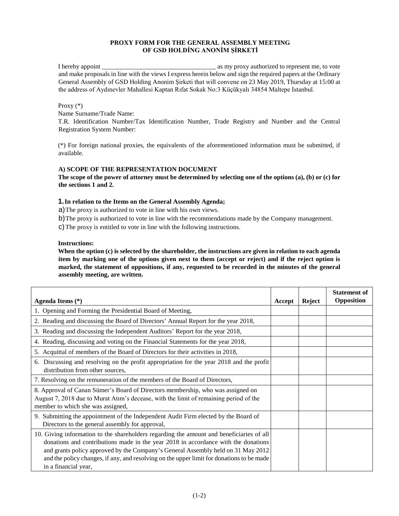# **PROXY FORM FOR THE GENERAL ASSEMBLY MEETING OF GSD HOLDİNG ANONİM ŞİRKETİ**

I hereby appoint \_\_\_\_\_\_\_\_\_\_\_\_\_\_\_\_\_\_\_\_\_\_\_\_\_\_\_\_\_\_\_\_\_\_\_ as my proxy authorized to represent me, to vote and make proposals in line with the views I express herein below and sign the required papers at the Ordinary General Assembly of GSD Holding Anonim Şirketi that will convene on 23 May 2019, Thursday at 15:00 at the address of Aydınevler Mahallesi Kaptan Rıfat Sokak No:3 Küçükyalı 34854 Maltepe Istanbul.

## Proxy (\*)

Name Surname/Trade Name:

T.R. Identification Number/Tax Identification Number, Trade Registry and Number and the Central Registration System Number:

(\*) For foreign national proxies, the equivalents of the aforementioned information must be submitted, if available.

# **A) SCOPE OF THE REPRESENTATION DOCUMENT**

**The scope of the power of attorney must be determined by selecting one of the options (a), (b) or (c) for the sections 1 and 2.** 

# **1.In relation to the Items on the General Assembly Agenda;**

a)The proxy is authorized to vote in line with his own views.

b)The proxy is authorized to vote in line with the recommendations made by the Company management.

c)The proxy is entitled to vote in line with the following instructions.

### **Instructions:**

**When the option (c) is selected by the shareholder, the instructions are given in relation to each agenda item by marking one of the options given next to them (accept or reject) and if the reject option is marked, the statement of oppositions, if any, requested to be recorded in the minutes of the general assembly meeting, are written.** 

| Agenda Items (*)                                                                                                                                                                                                                                                                                                                                                                        | Accept | <b>Reject</b> | <b>Statement of</b><br>Opposition |
|-----------------------------------------------------------------------------------------------------------------------------------------------------------------------------------------------------------------------------------------------------------------------------------------------------------------------------------------------------------------------------------------|--------|---------------|-----------------------------------|
| 1. Opening and Forming the Presidential Board of Meeting,                                                                                                                                                                                                                                                                                                                               |        |               |                                   |
| 2. Reading and discussing the Board of Directors' Annual Report for the year 2018,                                                                                                                                                                                                                                                                                                      |        |               |                                   |
| 3. Reading and discussing the Independent Auditors' Report for the year 2018,                                                                                                                                                                                                                                                                                                           |        |               |                                   |
| 4. Reading, discussing and voting on the Financial Statements for the year 2018,                                                                                                                                                                                                                                                                                                        |        |               |                                   |
| 5. Acquittal of members of the Board of Directors for their activities in 2018,                                                                                                                                                                                                                                                                                                         |        |               |                                   |
| 6. Discussing and resolving on the profit appropriation for the year 2018 and the profit<br>distribution from other sources,                                                                                                                                                                                                                                                            |        |               |                                   |
| 7. Resolving on the remuneration of the members of the Board of Directors,                                                                                                                                                                                                                                                                                                              |        |               |                                   |
| 8. Approval of Canan Sümer's Board of Directors membership, who was assigned on<br>August 7, 2018 due to Murat Atim's decease, with the limit of remaining period of the<br>member to which she was assigned,                                                                                                                                                                           |        |               |                                   |
| 9. Submitting the appointment of the Independent Audit Firm elected by the Board of<br>Directors to the general assembly for approval,                                                                                                                                                                                                                                                  |        |               |                                   |
| 10. Giving information to the shareholders regarding the amount and beneficiaries of all<br>donations and contributions made in the year 2018 in accordance with the donations<br>and grants policy approved by the Company's General Assembly held on 31 May 2012<br>and the policy changes, if any, and resolving on the upper limit for donations to be made<br>in a financial year, |        |               |                                   |